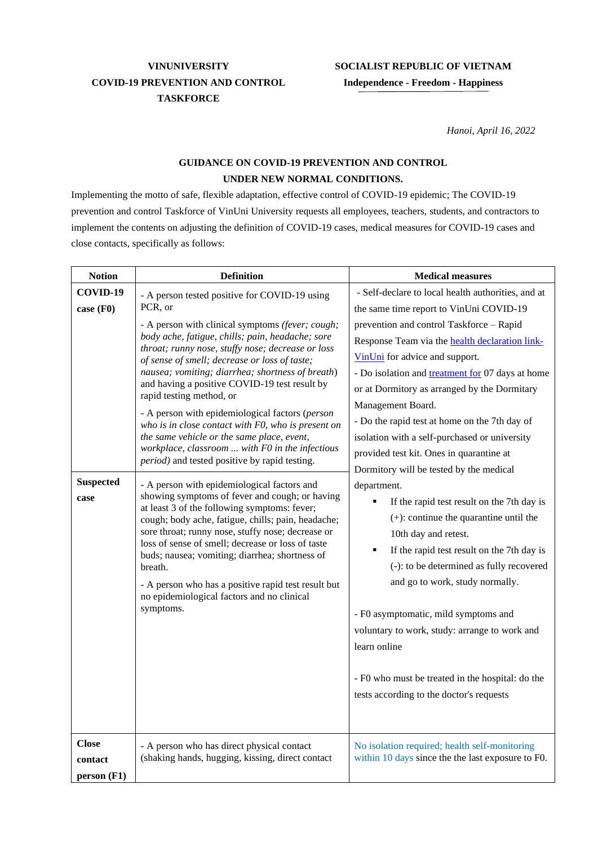## **VINUNIVERSITY COVID-19 PREVENTION AND CONTROL TASKFORCE**

## **SOCIALIST REPUBLIC OF VIETNAM Independence - Freedom - Happiness**

*Hanoi, April 16, 2022*

## **GUIDANCE ON COVID-19 PREVENTION AND CONTROL UNDER NEW NORMAL CONDITIONS.**

Implementing the motto of safe, flexible adaptation, effective control of COVID-19 epidemic; The COVID-19 prevention and control Taskforce of VinUni University requests all employees, teachers, students, and contractors to implement the contents on adjusting the definition of COVID-19 cases, medical measures for COVID-19 cases and close contacts, specifically as follows:

| <b>Notion</b>                                     | <b>Definition</b>                                                                                                                                                                                                                                                                                                                                                                                                                                                                                                                                                                                                                                                                                                                                                                                                                                                                                                                                                                                                                                                                                                                                                  | <b>Medical measures</b>                                                                                                                                                                                                                                                                                                                                                                                                                                                                                                                                                                                                                                                                                                                                                                                                                                                                                                                                                                                                                  |
|---------------------------------------------------|--------------------------------------------------------------------------------------------------------------------------------------------------------------------------------------------------------------------------------------------------------------------------------------------------------------------------------------------------------------------------------------------------------------------------------------------------------------------------------------------------------------------------------------------------------------------------------------------------------------------------------------------------------------------------------------------------------------------------------------------------------------------------------------------------------------------------------------------------------------------------------------------------------------------------------------------------------------------------------------------------------------------------------------------------------------------------------------------------------------------------------------------------------------------|------------------------------------------------------------------------------------------------------------------------------------------------------------------------------------------------------------------------------------------------------------------------------------------------------------------------------------------------------------------------------------------------------------------------------------------------------------------------------------------------------------------------------------------------------------------------------------------------------------------------------------------------------------------------------------------------------------------------------------------------------------------------------------------------------------------------------------------------------------------------------------------------------------------------------------------------------------------------------------------------------------------------------------------|
| COVID-19<br>case (F0)<br><b>Suspected</b><br>case | - A person tested positive for COVID-19 using<br>PCR, or<br>- A person with clinical symptoms (fever; cough;<br>body ache, fatigue, chills; pain, headache; sore<br>throat; runny nose, stuffy nose; decrease or loss<br>of sense of smell; decrease or loss of taste;<br>nausea; vomiting; diarrhea; shortness of breath)<br>and having a positive COVID-19 test result by<br>rapid testing method, or<br>- A person with epidemiological factors (person<br>who is in close contact with F0, who is present on<br>the same vehicle or the same place, event,<br>workplace, classroom  with F0 in the infectious<br>period) and tested positive by rapid testing.<br>- A person with epidemiological factors and<br>showing symptoms of fever and cough; or having<br>at least 3 of the following symptoms: fever;<br>cough; body ache, fatigue, chills; pain, headache;<br>sore throat; runny nose, stuffy nose; decrease or<br>loss of sense of smell; decrease or loss of taste<br>buds; nausea; vomiting; diarrhea; shortness of<br>breath.<br>- A person who has a positive rapid test result but<br>no epidemiological factors and no clinical<br>symptoms. | - Self-declare to local health authorities, and at<br>the same time report to VinUni COVID-19<br>prevention and control Taskforce - Rapid<br>Response Team via the <b>health declaration link-</b><br>VinUni for advice and support.<br>- Do isolation and treatment for 07 days at home<br>or at Dormitory as arranged by the Dormitary<br>Management Board.<br>- Do the rapid test at home on the 7th day of<br>isolation with a self-purchased or university<br>provided test kit. Ones in quarantine at<br>Dormitory will be tested by the medical<br>department.<br>If the rapid test result on the 7th day is<br>٠<br>$(+)$ : continue the quarantine until the<br>10th day and retest.<br>If the rapid test result on the 7th day is<br>٠<br>(-): to be determined as fully recovered<br>and go to work, study normally.<br>- F0 asymptomatic, mild symptoms and<br>voluntary to work, study: arrange to work and<br>learn online<br>- F0 who must be treated in the hospital: do the<br>tests according to the doctor's requests |
| <b>Close</b><br>contact<br>person (F1)            | - A person who has direct physical contact<br>(shaking hands, hugging, kissing, direct contact                                                                                                                                                                                                                                                                                                                                                                                                                                                                                                                                                                                                                                                                                                                                                                                                                                                                                                                                                                                                                                                                     | No isolation required; health self-monitoring<br>within 10 days since the the last exposure to F0.                                                                                                                                                                                                                                                                                                                                                                                                                                                                                                                                                                                                                                                                                                                                                                                                                                                                                                                                       |